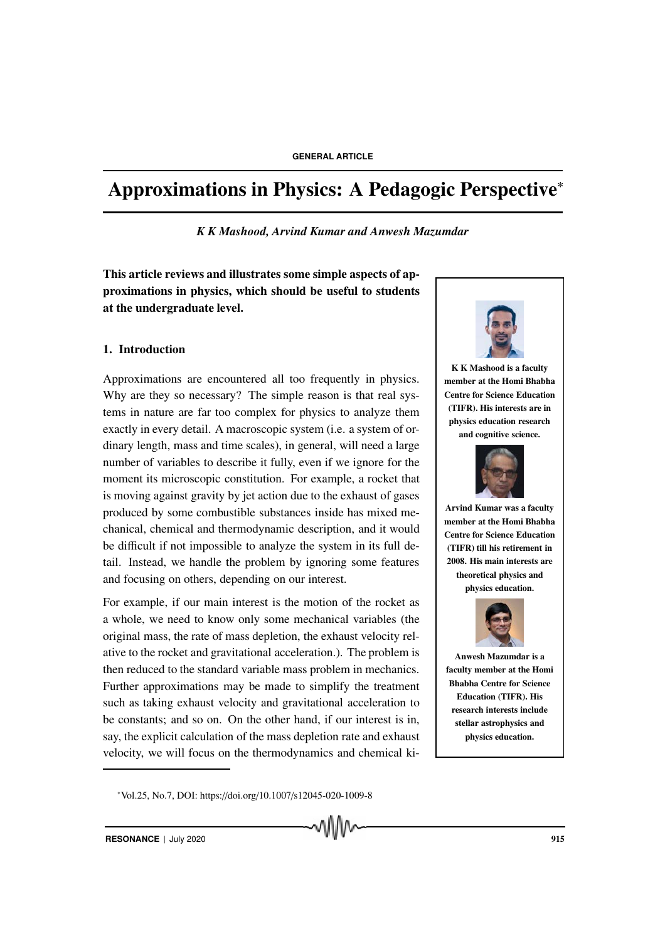# Approximations in Physics: A Pedagogic Perspective<sup>∗</sup>

*K K Mashood, Arvind Kumar and Anwesh Mazumdar*

This article reviews and illustrates some simple aspects of approximations in physics, which should be useful to students at the undergraduate level.

## 1. Introduction

Approximations are encountered all too frequently in physics. Why are they so necessary? The simple reason is that real systems in nature are far too complex for physics to analyze them exactly in every detail. A macroscopic system (i.e. a system of ordinary length, mass and time scales), in general, will need a large number of variables to describe it fully, even if we ignore for the moment its microscopic constitution. For example, a rocket that is moving against gravity by jet action due to the exhaust of gases produced by some combustible substances inside has mixed mechanical, chemical and thermodynamic description, and it would be difficult if not impossible to analyze the system in its full detail. Instead, we handle the problem by ignoring some features and focusing on others, depending on our interest.

For example, if our main interest is the motion of the rocket as a whole, we need to know only some mechanical variables (the original mass, the rate of mass depletion, the exhaust velocity relative to the rocket and gravitational acceleration.). The problem is then reduced to the standard variable mass problem in mechanics. Further approximations may be made to simplify the treatment such as taking exhaust velocity and gravitational acceleration to be constants; and so on. On the other hand, if our interest is in, say, the explicit calculation of the mass depletion rate and exhaust velocity, we will focus on the thermodynamics and chemical ki-

<sup>∗</sup>Vol.25, No.7, DOI: https://doi.org/10.1007/s12045-020-1009-8



K K Mashood is a faculty member at the Homi Bhabha Centre for Science Education (TIFR). His interests are in physics education research and cognitive science.



Arvind Kumar was a faculty member at the Homi Bhabha Centre for Science Education (TIFR) till his retirement in 2008. His main interests are theoretical physics and physics education.



Anwesh Mazumdar is a faculty member at the Homi Bhabha Centre for Science Education (TIFR). His research interests include stellar astrophysics and physics education.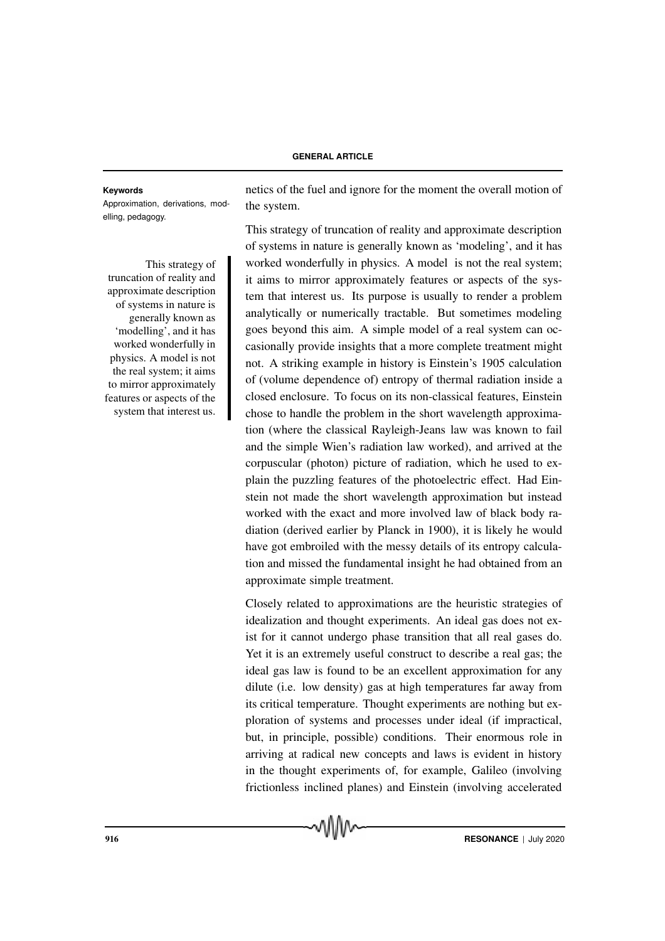Approximation, derivations, modelling, pedagogy.

truncation of reality and approximate description of systems in nature is generally known as 'modelling', and it has worked wonderfully in physics. A model is not the real system; it aims to mirror approximately features or aspects of the system that interest us.

**Keywords** netics of the fuel and ignore for the moment the overall motion of the system.

This strategy of truncation of reality and approximate description of systems in nature is generally known as 'modeling', and it has This strategy of worked wonderfully in physics. A model is not the real system; it aims to mirror approximately features or aspects of the system that interest us. Its purpose is usually to render a problem analytically or numerically tractable. But sometimes modeling goes beyond this aim. A simple model of a real system can occasionally provide insights that a more complete treatment might not. A striking example in history is Einstein's 1905 calculation of (volume dependence of) entropy of thermal radiation inside a closed enclosure. To focus on its non-classical features, Einstein chose to handle the problem in the short wavelength approximation (where the classical Rayleigh-Jeans law was known to fail and the simple Wien's radiation law worked), and arrived at the corpuscular (photon) picture of radiation, which he used to explain the puzzling features of the photoelectric effect. Had Einstein not made the short wavelength approximation but instead worked with the exact and more involved law of black body radiation (derived earlier by Planck in 1900), it is likely he would have got embroiled with the messy details of its entropy calculation and missed the fundamental insight he had obtained from an approximate simple treatment.

> Closely related to approximations are the heuristic strategies of idealization and thought experiments. An ideal gas does not exist for it cannot undergo phase transition that all real gases do. Yet it is an extremely useful construct to describe a real gas; the ideal gas law is found to be an excellent approximation for any dilute (i.e. low density) gas at high temperatures far away from its critical temperature. Thought experiments are nothing but exploration of systems and processes under ideal (if impractical, but, in principle, possible) conditions. Their enormous role in arriving at radical new concepts and laws is evident in history in the thought experiments of, for example, Galileo (involving frictionless inclined planes) and Einstein (involving accelerated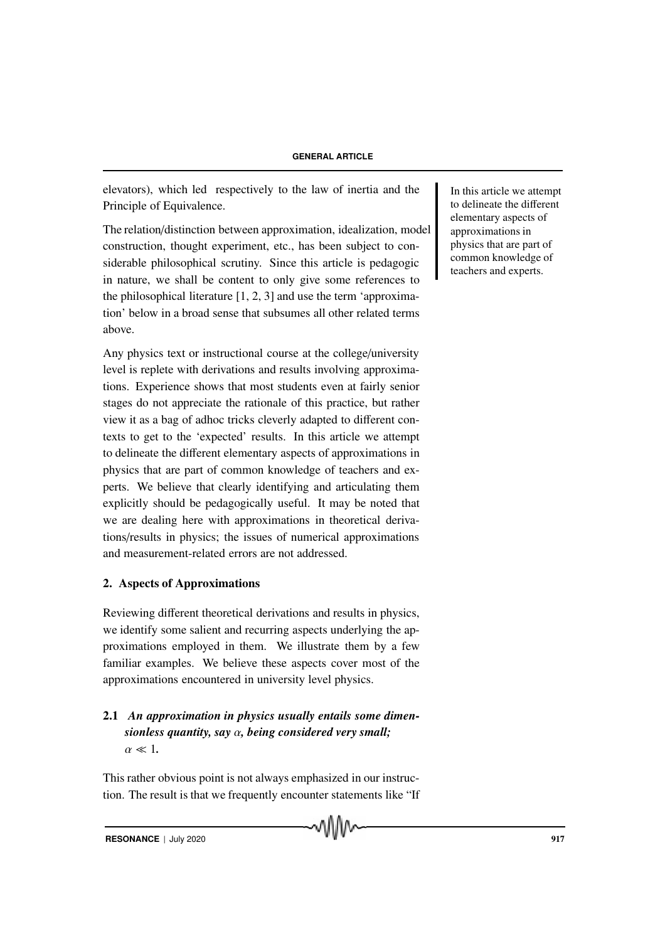elevators), which led respectively to the law of inertia and the In this article we attempt Principle of Equivalence.

The relation/distinction between approximation, idealization, model construction, thought experiment, etc., has been subject to considerable philosophical scrutiny. Since this article is pedagogic in nature, we shall be content to only give some references to the philosophical literature [1, 2, 3] and use the term 'approximation' below in a broad sense that subsumes all other related terms above.

Any physics text or instructional course at the college/university level is replete with derivations and results involving approximations. Experience shows that most students even at fairly senior stages do not appreciate the rationale of this practice, but rather view it as a bag of adhoc tricks cleverly adapted to different contexts to get to the 'expected' results. In this article we attempt to delineate the different elementary aspects of approximations in physics that are part of common knowledge of teachers and experts. We believe that clearly identifying and articulating them explicitly should be pedagogically useful. It may be noted that we are dealing here with approximations in theoretical derivations/results in physics; the issues of numerical approximations and measurement-related errors are not addressed.

### 2. Aspects of Approximations

Reviewing different theoretical derivations and results in physics, we identify some salient and recurring aspects underlying the approximations employed in them. We illustrate them by a few familiar examples. We believe these aspects cover most of the approximations encountered in university level physics.

## 2.1 *An approximation in physics usually entails some dimensionless quantity, say* α*, being considered very small;*  $\alpha \ll 1$ .

This rather obvious point is not always emphasized in our instruction. The result is that we frequently encounter statements like "If

MMW

to delineate the different elementary aspects of approximations in physics that are part of common knowledge of teachers and experts.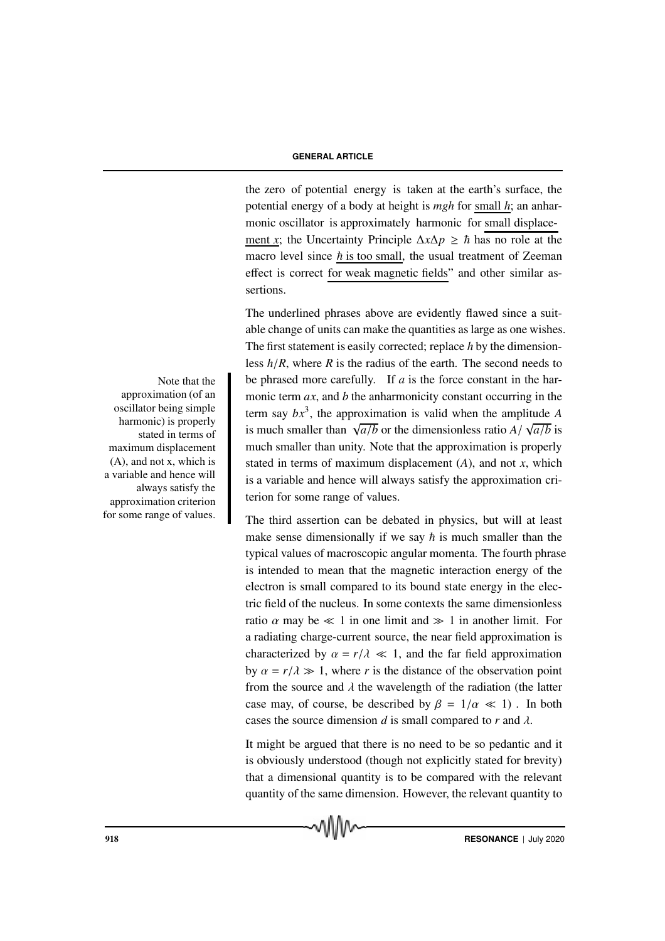the zero of potential energy is taken at the earth's surface, the potential energy of a body at height is *mgh* for small *h*; an anharmonic oscillator is approximately harmonic for small displacement *x*; the Uncertainty Principle  $\Delta x \Delta p \geq \hbar$  has no role at the macro level since  $\hbar$  is too small, the usual treatment of Zeeman effect is correct for weak magnetic fields" and other similar assertions.

The underlined phrases above are evidently flawed since a suitable change of units can make the quantities as large as one wishes. The first statement is easily corrected; replace *h* by the dimensionless *h*/*R*, where *R* is the radius of the earth. The second needs to Note that the  $\qquad$  be phrased more carefully. If *a* is the force constant in the harmonic term *ax*, and *b* the anharmonicity constant occurring in the term say  $bx^3$ , the approximation is valid when the amplitude  $A$ is much smaller than  $\sqrt{a/b}$  or the dimensionless ratio *A*/ ⊥∟<br>/ *a*/*b* is much smaller than unity. Note that the approximation is properly stated in terms of maximum displacement (*A*), and not *x*, which is a variable and hence will always satisfy the approximation criterion for some range of values.

> The third assertion can be debated in physics, but will at least make sense dimensionally if we say  $\hbar$  is much smaller than the typical values of macroscopic angular momenta. The fourth phrase is intended to mean that the magnetic interaction energy of the electron is small compared to its bound state energy in the electric field of the nucleus. In some contexts the same dimensionless ratio  $\alpha$  may be  $\ll 1$  in one limit and  $\gg 1$  in another limit. For a radiating charge-current source, the near field approximation is characterized by  $\alpha = r/\lambda \ll 1$ , and the far field approximation by  $\alpha = r/\lambda \gg 1$ , where *r* is the distance of the observation point from the source and  $\lambda$  the wavelength of the radiation (the latter case may, of course, be described by  $\beta = 1/\alpha \ll 1$ ). In both cases the source dimension *d* is small compared to *r* and  $\lambda$ .

It might be argued that there is no need to be so pedantic and it is obviously understood (though not explicitly stated for brevity) that a dimensional quantity is to be compared with the relevant quantity of the same dimension. However, the relevant quantity to

approximation (of an oscillator being simple harmonic) is properly stated in terms of maximum displacement (A), and not x, which is a variable and hence will always satisfy the approximation criterion for some range of values.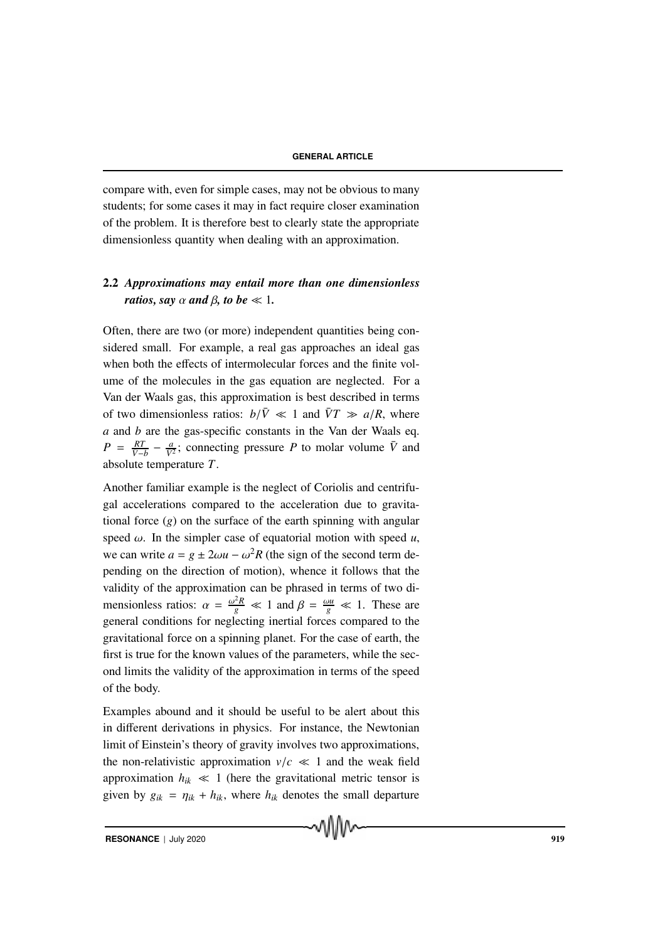compare with, even for simple cases, may not be obvious to many students; for some cases it may in fact require closer examination of the problem. It is therefore best to clearly state the appropriate dimensionless quantity when dealing with an approximation.

## 2.2 *Approximations may entail more than one dimensionless ratios, say*  $\alpha$  *and*  $\beta$ *, to be*  $\ll 1$ *.*

Often, there are two (or more) independent quantities being considered small. For example, a real gas approaches an ideal gas when both the effects of intermolecular forces and the finite volume of the molecules in the gas equation are neglected. For a Van der Waals gas, this approximation is best described in terms of two dimensionless ratios:  $b/\bar{V} \ll 1$  and  $\bar{V}T \gg a/R$ , where *a* and *b* are the gas-specific constants in the Van der Waals eq.  $P = \frac{RT}{\bar{V}-b} - \frac{a}{\bar{V}^2}$ ; connecting pressure *P* to molar volume  $\bar{V}$  and absolute temperature *T*.

Another familiar example is the neglect of Coriolis and centrifugal accelerations compared to the acceleration due to gravitational force (*g*) on the surface of the earth spinning with angular speed  $\omega$ . In the simpler case of equatorial motion with speed  $u$ , we can write  $a = g \pm 2\omega u - \omega^2 R$  (the sign of the second term depending on the direction of motion), whence it follows that the validity of the approximation can be phrased in terms of two dimensionless ratios:  $\alpha = \frac{\omega^2 R}{g}$  $\frac{\partial^2 R}{\partial g} \ll 1$  and  $\beta = \frac{\omega u}{g}$  $\frac{\partial u}{g} \ll 1$ . These are general conditions for neglecting inertial forces compared to the gravitational force on a spinning planet. For the case of earth, the first is true for the known values of the parameters, while the second limits the validity of the approximation in terms of the speed of the body.

Examples abound and it should be useful to be alert about this in different derivations in physics. For instance, the Newtonian limit of Einstein's theory of gravity involves two approximations, the non-relativistic approximation  $v/c \ll 1$  and the weak field approximation  $h_{ik} \ll 1$  (here the gravitational metric tensor is given by  $g_{ik} = \eta_{ik} + h_{ik}$ , where  $h_{ik}$  denotes the small departure

√∖\\∧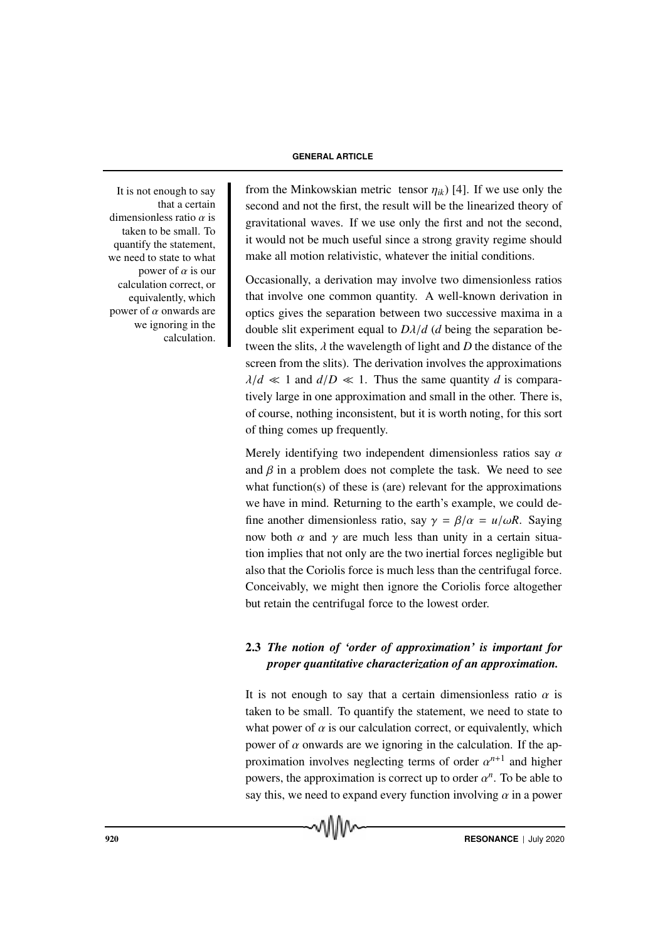that a certain dimensionless ratio  $\alpha$  is taken to be small. To quantify the statement, we need to state to what power of  $\alpha$  is our calculation correct, or equivalently, which power of  $\alpha$  onwards are we ignoring in the calculation.

It is not enough to say from the Minkowskian metric tensor  $\eta_{ik}$ ) [4]. If we use only the second and not the first, the result will be the linearized theory of gravitational waves. If we use only the first and not the second, it would not be much useful since a strong gravity regime should make all motion relativistic, whatever the initial conditions.

> Occasionally, a derivation may involve two dimensionless ratios that involve one common quantity. A well-known derivation in optics gives the separation between two successive maxima in a double slit experiment equal to *D*λ/*d* (*d* being the separation between the slits,  $\lambda$  the wavelength of light and  $D$  the distance of the screen from the slits). The derivation involves the approximations  $\lambda/d \ll 1$  and  $d/D \ll 1$ . Thus the same quantity *d* is comparatively large in one approximation and small in the other. There is, of course, nothing inconsistent, but it is worth noting, for this sort of thing comes up frequently.

> Merely identifying two independent dimensionless ratios say  $\alpha$ and  $\beta$  in a problem does not complete the task. We need to see what function(s) of these is (are) relevant for the approximations we have in mind. Returning to the earth's example, we could define another dimensionless ratio, say  $\gamma = \beta/\alpha = u/\omega R$ . Saying now both  $\alpha$  and  $\gamma$  are much less than unity in a certain situation implies that not only are the two inertial forces negligible but also that the Coriolis force is much less than the centrifugal force. Conceivably, we might then ignore the Coriolis force altogether but retain the centrifugal force to the lowest order.

## 2.3 *The notion of 'order of approximation' is important for proper quantitative characterization of an approximation.*

It is not enough to say that a certain dimensionless ratio  $\alpha$  is taken to be small. To quantify the statement, we need to state to what power of  $\alpha$  is our calculation correct, or equivalently, which power of  $\alpha$  onwards are we ignoring in the calculation. If the approximation involves neglecting terms of order  $\alpha^{n+1}$  and higher powers, the approximation is correct up to order  $\alpha^n$ . To be able to say this, we need to expand every function involving  $\alpha$  in a power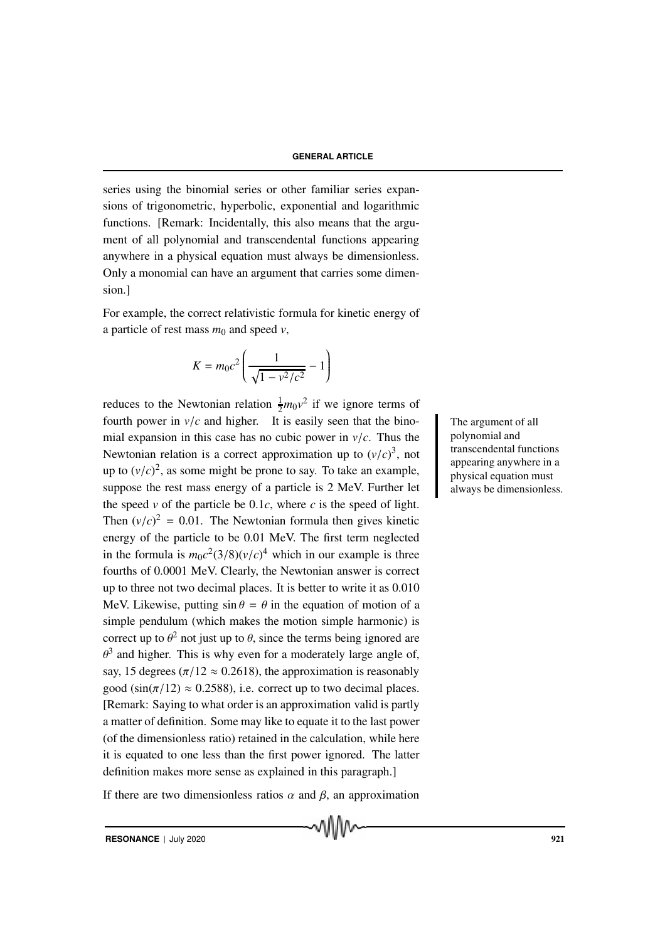series using the binomial series or other familiar series expansions of trigonometric, hyperbolic, exponential and logarithmic functions. [Remark: Incidentally, this also means that the argument of all polynomial and transcendental functions appearing anywhere in a physical equation must always be dimensionless. Only a monomial can have an argument that carries some dimension.]

For example, the correct relativistic formula for kinetic energy of a particle of rest mass  $m_0$  and speed  $v$ ,

$$
K = m_0 c^2 \left( \frac{1}{\sqrt{1 - v^2/c^2}} - 1 \right)
$$

reduces to the Newtonian relation  $\frac{1}{2}m_0v^2$  if we ignore terms of fourth power in  $v/c$  and higher. It is easily seen that the bino-<br>The argument of all mial expansion in this case has no cubic power in  $v/c$ . Thus the Newtonian relation is a correct approximation up to  $(v/c)^3$ , not up to  $(v/c)^2$ , as some might be prone to say. To take an example, suppose the rest mass energy of a particle is 2 MeV. Further let the speed  $\nu$  of the particle be 0.1*c*, where *c* is the speed of light. Then  $(v/c)^2 = 0.01$ . The Newtonian formula then gives kinetic energy of the particle to be 0.01 MeV. The first term neglected in the formula is  $m_0c^2(3/8)(v/c)^4$  which in our example is three fourths of 0.0001 MeV. Clearly, the Newtonian answer is correct up to three not two decimal places. It is better to write it as 0.010 MeV. Likewise, putting  $\sin \theta = \theta$  in the equation of motion of a simple pendulum (which makes the motion simple harmonic) is correct up to  $\theta^2$  not just up to  $\theta$ , since the terms being ignored are  $\theta^3$  and higher. This is why even for a moderately large angle of, say, 15 degrees ( $\pi/12 \approx 0.2618$ ), the approximation is reasonably good (sin( $\pi$ /12)  $\approx$  0.2588), i.e. correct up to two decimal places. [Remark: Saying to what order is an approximation valid is partly a matter of definition. Some may like to equate it to the last power (of the dimensionless ratio) retained in the calculation, while here it is equated to one less than the first power ignored. The latter definition makes more sense as explained in this paragraph.]

If there are two dimensionless ratios  $\alpha$  and  $\beta$ , an approximation

www

polynomial and transcendental functions appearing anywhere in a physical equation must always be dimensionless.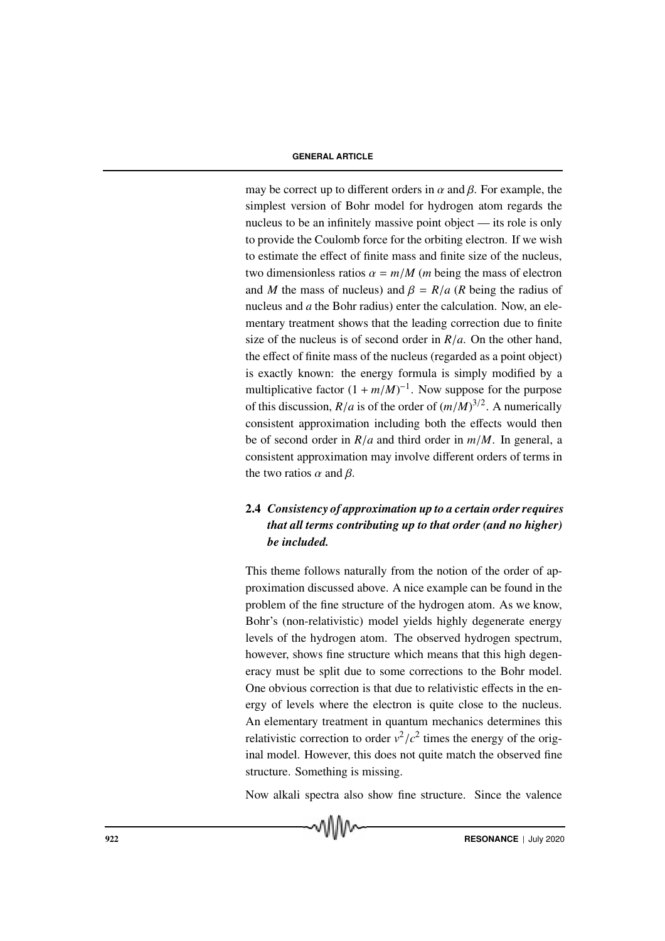may be correct up to different orders in  $\alpha$  and  $\beta$ . For example, the simplest version of Bohr model for hydrogen atom regards the nucleus to be an infinitely massive point object — its role is only to provide the Coulomb force for the orbiting electron. If we wish to estimate the effect of finite mass and finite size of the nucleus, two dimensionless ratios  $\alpha = m/M$  (*m* being the mass of electron and *M* the mass of nucleus) and  $\beta = R/a$  (*R* being the radius of nucleus and *a* the Bohr radius) enter the calculation. Now, an elementary treatment shows that the leading correction due to finite size of the nucleus is of second order in  $R/a$ . On the other hand, the effect of finite mass of the nucleus (regarded as a point object) is exactly known: the energy formula is simply modified by a multiplicative factor  $(1 + m/M)^{-1}$ . Now suppose for the purpose of this discussion,  $R/a$  is of the order of  $(m/M)^{3/2}$ . A numerically consistent approximation including both the effects would then be of second order in *R*/*a* and third order in *m*/*M*. In general, a consistent approximation may involve different orders of terms in the two ratios  $\alpha$  and  $\beta$ .

## 2.4 *Consistency of approximation up to a certain order requires that all terms contributing up to that order (and no higher) be included.*

This theme follows naturally from the notion of the order of approximation discussed above. A nice example can be found in the problem of the fine structure of the hydrogen atom. As we know, Bohr's (non-relativistic) model yields highly degenerate energy levels of the hydrogen atom. The observed hydrogen spectrum, however, shows fine structure which means that this high degeneracy must be split due to some corrections to the Bohr model. One obvious correction is that due to relativistic effects in the energy of levels where the electron is quite close to the nucleus. An elementary treatment in quantum mechanics determines this relativistic correction to order  $v^2/c^2$  times the energy of the original model. However, this does not quite match the observed fine structure. Something is missing.

Now alkali spectra also show fine structure. Since the valence

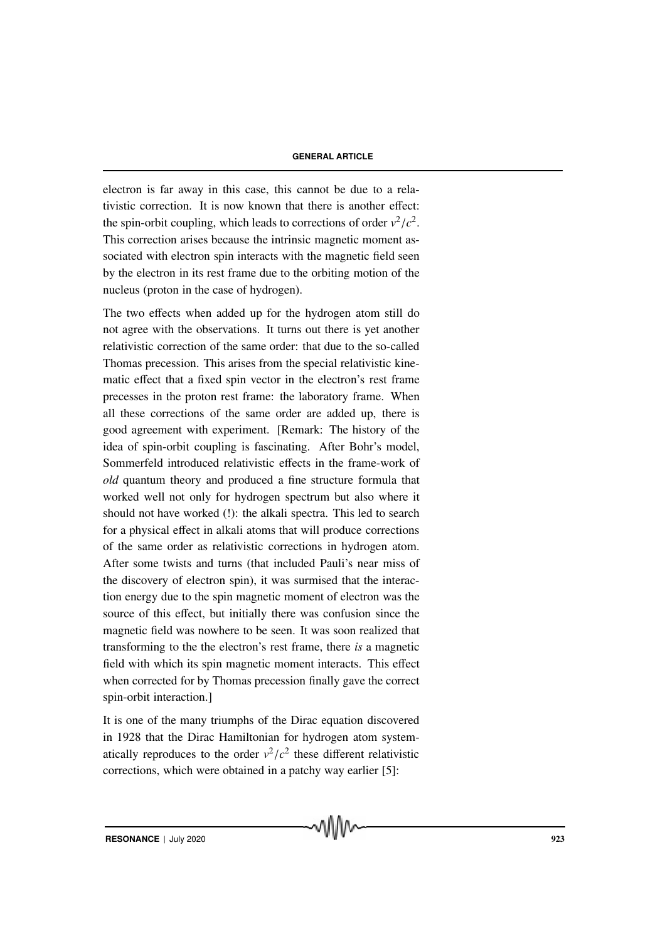electron is far away in this case, this cannot be due to a relativistic correction. It is now known that there is another effect: the spin-orbit coupling, which leads to corrections of order  $v^2/c^2$ . This correction arises because the intrinsic magnetic moment associated with electron spin interacts with the magnetic field seen by the electron in its rest frame due to the orbiting motion of the nucleus (proton in the case of hydrogen).

The two effects when added up for the hydrogen atom still do not agree with the observations. It turns out there is yet another relativistic correction of the same order: that due to the so-called Thomas precession. This arises from the special relativistic kinematic effect that a fixed spin vector in the electron's rest frame precesses in the proton rest frame: the laboratory frame. When all these corrections of the same order are added up, there is good agreement with experiment. [Remark: The history of the idea of spin-orbit coupling is fascinating. After Bohr's model, Sommerfeld introduced relativistic effects in the frame-work of *old* quantum theory and produced a fine structure formula that worked well not only for hydrogen spectrum but also where it should not have worked (!): the alkali spectra. This led to search for a physical effect in alkali atoms that will produce corrections of the same order as relativistic corrections in hydrogen atom. After some twists and turns (that included Pauli's near miss of the discovery of electron spin), it was surmised that the interaction energy due to the spin magnetic moment of electron was the source of this effect, but initially there was confusion since the magnetic field was nowhere to be seen. It was soon realized that transforming to the the electron's rest frame, there *is* a magnetic field with which its spin magnetic moment interacts. This effect when corrected for by Thomas precession finally gave the correct spin-orbit interaction.]

It is one of the many triumphs of the Dirac equation discovered in 1928 that the Dirac Hamiltonian for hydrogen atom systematically reproduces to the order  $v^2/c^2$  these different relativistic corrections, which were obtained in a patchy way earlier [5]:

MM∿

**RESONANCE** | July 2020 923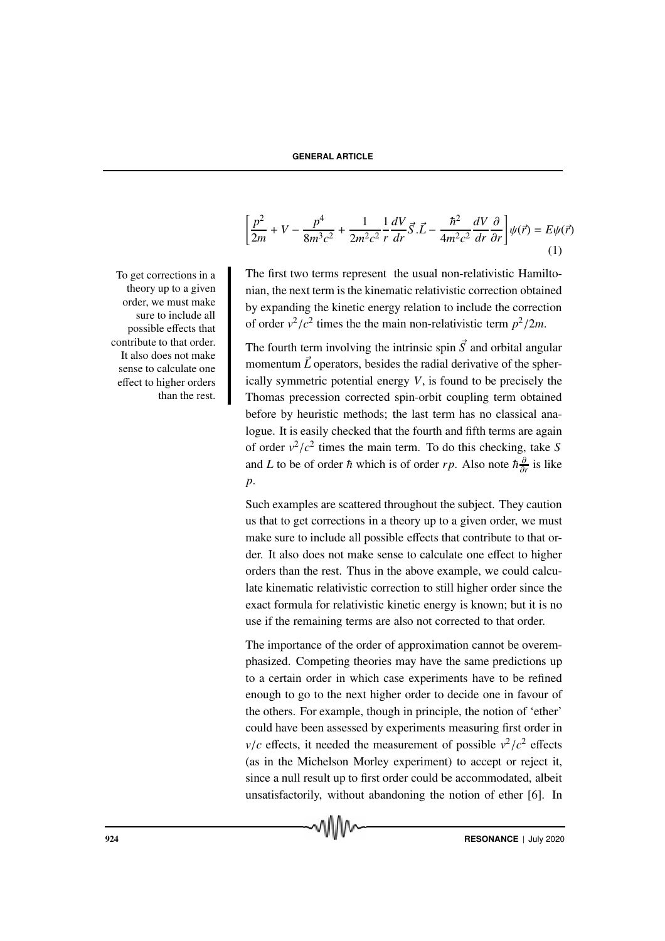theory up to a given order, we must make sure to include all possible effects that contribute to that order. It also does not make sense to calculate one effect to higher orders than the rest.

$$
\left[\frac{p^2}{2m} + V - \frac{p^4}{8m^3c^2} + \frac{1}{2m^2c^2} \frac{1}{r} \frac{dV}{dr} \vec{S} \cdot \vec{L} - \frac{\hbar^2}{4m^2c^2} \frac{dV}{dr} \frac{\partial}{\partial r} \right] \psi(\vec{r}) = E\psi(\vec{r})
$$
\n(1)

To get corrections in a The first two terms represent the usual non-relativistic Hamiltonian, the next term is the kinematic relativistic correction obtained by expanding the kinetic energy relation to include the correction of order  $v^2/c^2$  times the the main non-relativistic term  $p^2/2m$ .

> The fourth term involving the intrinsic spin  $\vec{S}$  and orbital angular momentum  $\vec{L}$  operators, besides the radial derivative of the spherically symmetric potential energy *V*, is found to be precisely the Thomas precession corrected spin-orbit coupling term obtained before by heuristic methods; the last term has no classical analogue. It is easily checked that the fourth and fifth terms are again of order  $v^2/c^2$  times the main term. To do this checking, take *S* and *L* to be of order  $\hbar$  which is of order *rp*. Also note  $\hbar \frac{\partial}{\partial n}$ ∂*r* is like *p*.

> Such examples are scattered throughout the subject. They caution us that to get corrections in a theory up to a given order, we must make sure to include all possible effects that contribute to that order. It also does not make sense to calculate one effect to higher orders than the rest. Thus in the above example, we could calculate kinematic relativistic correction to still higher order since the exact formula for relativistic kinetic energy is known; but it is no use if the remaining terms are also not corrected to that order.

> The importance of the order of approximation cannot be overemphasized. Competing theories may have the same predictions up to a certain order in which case experiments have to be refined enough to go to the next higher order to decide one in favour of the others. For example, though in principle, the notion of 'ether' could have been assessed by experiments measuring first order in  $v/c$  effects, it needed the measurement of possible  $v^2/c^2$  effects (as in the Michelson Morley experiment) to accept or reject it, since a null result up to first order could be accommodated, albeit unsatisfactorily, without abandoning the notion of ether [6]. In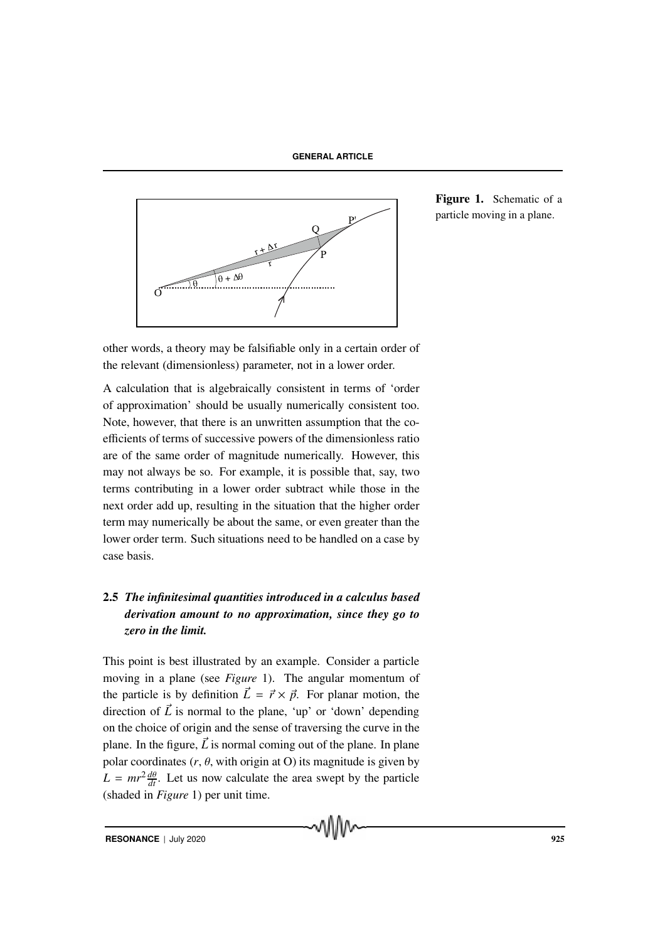

Figure 1. Schematic of a particle moving in a plane.

other words, a theory may be falsifiable only in a certain order of the relevant (dimensionless) parameter, not in a lower order.

A calculation that is algebraically consistent in terms of 'order of approximation' should be usually numerically consistent too. Note, however, that there is an unwritten assumption that the coefficients of terms of successive powers of the dimensionless ratio are of the same order of magnitude numerically. However, this may not always be so. For example, it is possible that, say, two terms contributing in a lower order subtract while those in the next order add up, resulting in the situation that the higher order term may numerically be about the same, or even greater than the lower order term. Such situations need to be handled on a case by case basis.

## 2.5 *The infinitesimal quantities introduced in a calculus based derivation amount to no approximation, since they go to zero in the limit.*

This point is best illustrated by an example. Consider a particle moving in a plane (see *Figure* 1). The angular momentum of the particle is by definition  $\vec{L} = \vec{r} \times \vec{p}$ . For planar motion, the direction of  $\vec{L}$  is normal to the plane, 'up' or 'down' depending on the choice of origin and the sense of traversing the curve in the plane. In the figure,  $\vec{L}$  is normal coming out of the plane. In plane polar coordinates  $(r, \theta, \text{ with origin at O})$  its magnitude is given by  $L = mr^2 \frac{d\theta}{dt}$ . Let us now calculate the area swept by the particle (shaded in *Figure* 1) per unit time.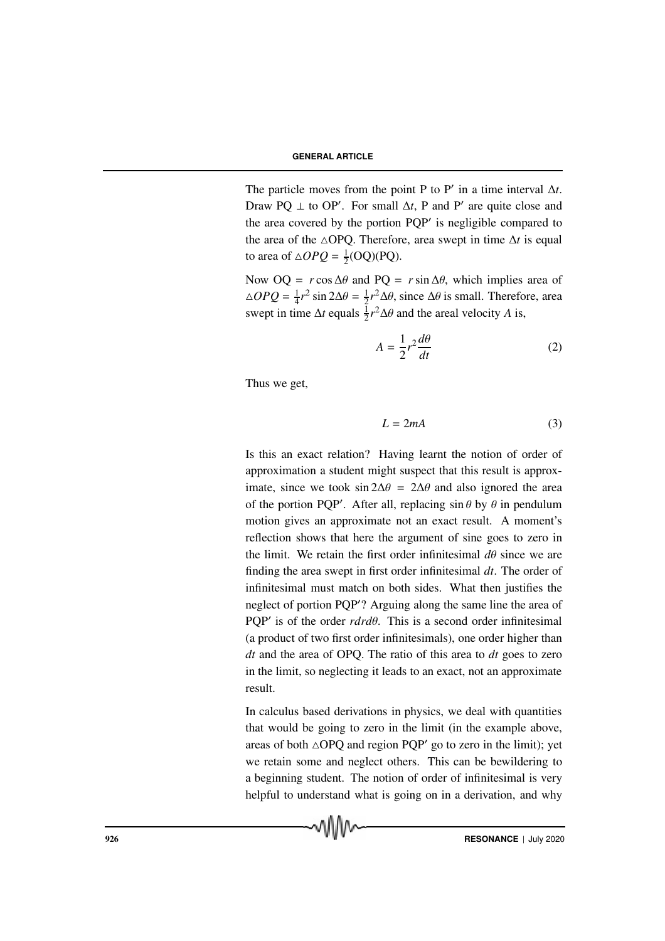The particle moves from the point P to P' in a time interval  $\Delta t$ . Draw PQ  $\perp$  to OP'. For small  $\Delta t$ , P and P' are quite close and the area covered by the portion PQP′ is negligible compared to the area of the △OPQ. Therefore, area swept in time ∆*t* is equal to area of  $\triangle OPQ = \frac{1}{2}$  $\frac{1}{2}$ (OQ)(PQ).

Now  $OQ = r \cos \Delta \theta$  and  $PQ = r \sin \Delta \theta$ , which implies area of  $\triangle OPQ = \frac{1}{4}$  $\frac{1}{4}r^2$  sin 2 $\Delta\theta = \frac{1}{2}$  $\frac{1}{2}r^2\Delta\theta$ , since  $\Delta\theta$  is small. Therefore, area swept in time  $\Delta t$  equals  $\frac{1}{2}r^2\Delta\theta$  and the areal velocity *A* is,

$$
A = \frac{1}{2}r^2 \frac{d\theta}{dt} \tag{2}
$$

Thus we get,

$$
L = 2mA \tag{3}
$$

Is this an exact relation? Having learnt the notion of order of approximation a student might suspect that this result is approximate, since we took sin  $2\Delta\theta = 2\Delta\theta$  and also ignored the area of the portion PQP'. After all, replacing  $\sin \theta$  by  $\theta$  in pendulum motion gives an approximate not an exact result. A moment's reflection shows that here the argument of sine goes to zero in the limit. We retain the first order infinitesimal *d*θ since we are finding the area swept in first order infinitesimal *dt*. The order of infinitesimal must match on both sides. What then justifies the neglect of portion PQP′ ? Arguing along the same line the area of PQP′ is of the order *rdrd*θ. This is a second order infinitesimal (a product of two first order infinitesimals), one order higher than *dt* and the area of OPQ. The ratio of this area to *dt* goes to zero in the limit, so neglecting it leads to an exact, not an approximate result.

In calculus based derivations in physics, we deal with quantities that would be going to zero in the limit (in the example above, areas of both  $\triangle$ OPQ and region PQP' go to zero in the limit); yet we retain some and neglect others. This can be bewildering to a beginning student. The notion of order of infinitesimal is very helpful to understand what is going on in a derivation, and why

∿∧ใ∖ใ∧∽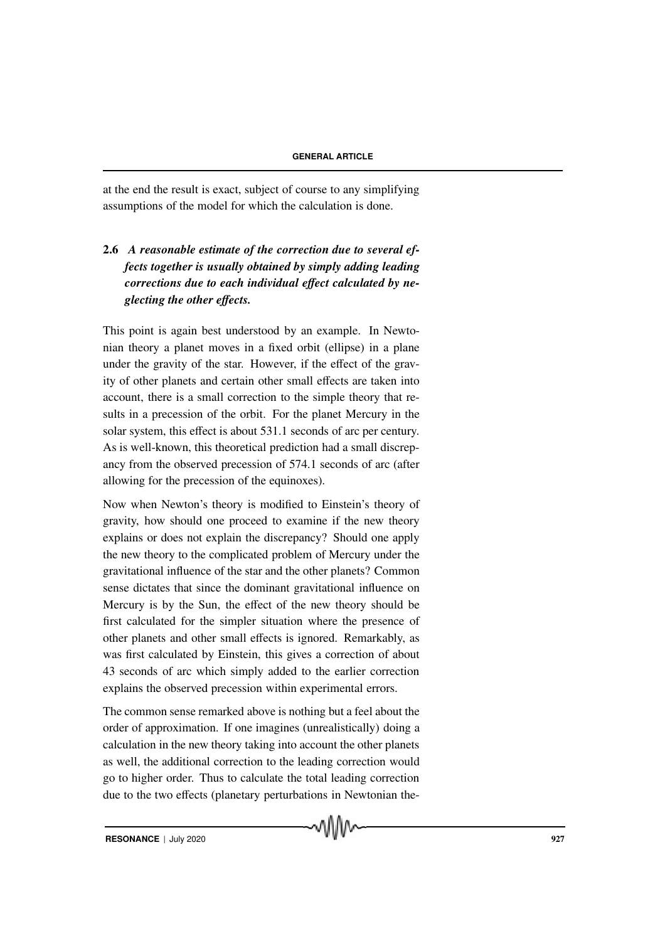at the end the result is exact, subject of course to any simplifying assumptions of the model for which the calculation is done.

## 2.6 *A reasonable estimate of the correction due to several effects together is usually obtained by simply adding leading corrections due to each individual e*ff*ect calculated by neglecting the other e*ff*ects.*

This point is again best understood by an example. In Newtonian theory a planet moves in a fixed orbit (ellipse) in a plane under the gravity of the star. However, if the effect of the gravity of other planets and certain other small effects are taken into account, there is a small correction to the simple theory that results in a precession of the orbit. For the planet Mercury in the solar system, this effect is about 531.1 seconds of arc per century. As is well-known, this theoretical prediction had a small discrepancy from the observed precession of 574.1 seconds of arc (after allowing for the precession of the equinoxes).

Now when Newton's theory is modified to Einstein's theory of gravity, how should one proceed to examine if the new theory explains or does not explain the discrepancy? Should one apply the new theory to the complicated problem of Mercury under the gravitational influence of the star and the other planets? Common sense dictates that since the dominant gravitational influence on Mercury is by the Sun, the effect of the new theory should be first calculated for the simpler situation where the presence of other planets and other small effects is ignored. Remarkably, as was first calculated by Einstein, this gives a correction of about 43 seconds of arc which simply added to the earlier correction explains the observed precession within experimental errors.

The common sense remarked above is nothing but a feel about the order of approximation. If one imagines (unrealistically) doing a calculation in the new theory taking into account the other planets as well, the additional correction to the leading correction would go to higher order. Thus to calculate the total leading correction due to the two effects (planetary perturbations in Newtonian the-

√∖\\\∧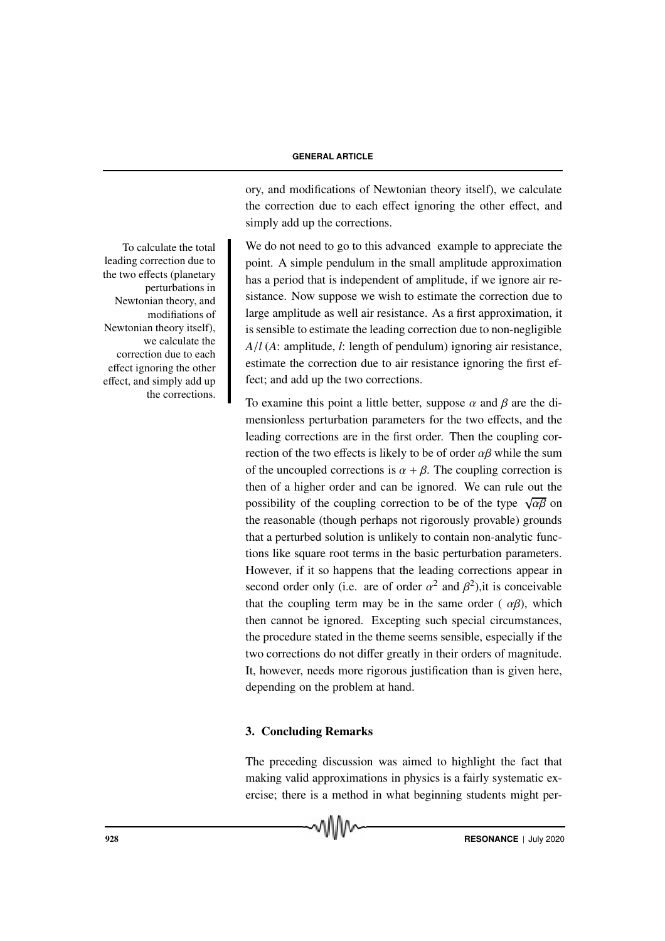leading correction due to the two effects (planetary perturbations in Newtonian theory, and modifiations of Newtonian theory itself), we calculate the correction due to each effect ignoring the other effect, and simply add up the corrections.

ory, and modifications of Newtonian theory itself), we calculate the correction due to each effect ignoring the other effect, and simply add up the corrections.

To calculate the total We do not need to go to this advanced example to appreciate the point. A simple pendulum in the small amplitude approximation has a period that is independent of amplitude, if we ignore air resistance. Now suppose we wish to estimate the correction due to large amplitude as well air resistance. As a first approximation, it is sensible to estimate the leading correction due to non-negligible *A*/*l* (*A*: amplitude, *l*: length of pendulum) ignoring air resistance, estimate the correction due to air resistance ignoring the first effect; and add up the two corrections.

> To examine this point a little better, suppose  $\alpha$  and  $\beta$  are the dimensionless perturbation parameters for the two effects, and the leading corrections are in the first order. Then the coupling correction of the two effects is likely to be of order  $\alpha\beta$  while the sum of the uncoupled corrections is  $\alpha + \beta$ . The coupling correction is then of a higher order and can be ignored. We can rule out the possibility of the coupling correction to be of the type  $\sqrt{\alpha\beta}$  on the reasonable (though perhaps not rigorously provable) grounds that a perturbed solution is unlikely to contain non-analytic functions like square root terms in the basic perturbation parameters. However, if it so happens that the leading corrections appear in second order only (i.e. are of order  $\alpha^2$  and  $\beta^2$ ), it is conceivable that the coupling term may be in the same order ( $\alpha\beta$ ), which then cannot be ignored. Excepting such special circumstances, the procedure stated in the theme seems sensible, especially if the two corrections do not differ greatly in their orders of magnitude. It, however, needs more rigorous justification than is given here, depending on the problem at hand.

### 3. Concluding Remarks

The preceding discussion was aimed to highlight the fact that making valid approximations in physics is a fairly systematic exercise; there is a method in what beginning students might per-

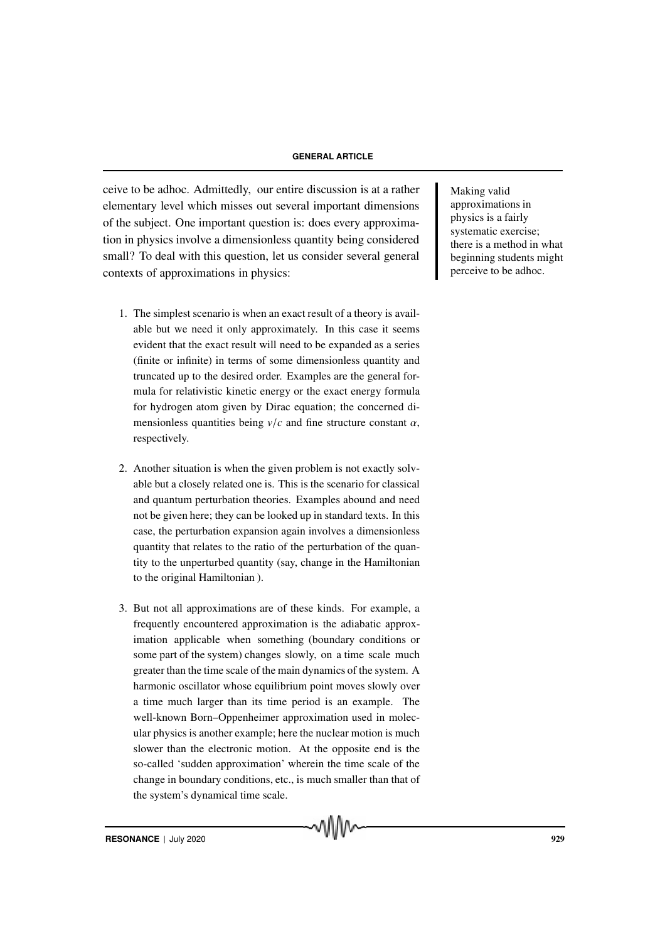ceive to be adhoc. Admittedly, our entire discussion is at a rather Making valid elementary level which misses out several important dimensions of the subject. One important question is: does every approximation in physics involve a dimensionless quantity being considered small? To deal with this question, let us consider several general contexts of approximations in physics:

- 1. The simplest scenario is when an exact result of a theory is available but we need it only approximately. In this case it seems evident that the exact result will need to be expanded as a series (finite or infinite) in terms of some dimensionless quantity and truncated up to the desired order. Examples are the general formula for relativistic kinetic energy or the exact energy formula for hydrogen atom given by Dirac equation; the concerned dimensionless quantities being  $v/c$  and fine structure constant  $\alpha$ , respectively.
- 2. Another situation is when the given problem is not exactly solvable but a closely related one is. This is the scenario for classical and quantum perturbation theories. Examples abound and need not be given here; they can be looked up in standard texts. In this case, the perturbation expansion again involves a dimensionless quantity that relates to the ratio of the perturbation of the quantity to the unperturbed quantity (say, change in the Hamiltonian to the original Hamiltonian ).
- 3. But not all approximations are of these kinds. For example, a frequently encountered approximation is the adiabatic approximation applicable when something (boundary conditions or some part of the system) changes slowly, on a time scale much greater than the time scale of the main dynamics of the system. A harmonic oscillator whose equilibrium point moves slowly over a time much larger than its time period is an example. The well-known Born–Oppenheimer approximation used in molecular physics is another example; here the nuclear motion is much slower than the electronic motion. At the opposite end is the so-called 'sudden approximation' wherein the time scale of the change in boundary conditions, etc., is much smaller than that of the system's dynamical time scale.

approximations in physics is a fairly systematic exercise; there is a method in what beginning students might perceive to be adhoc.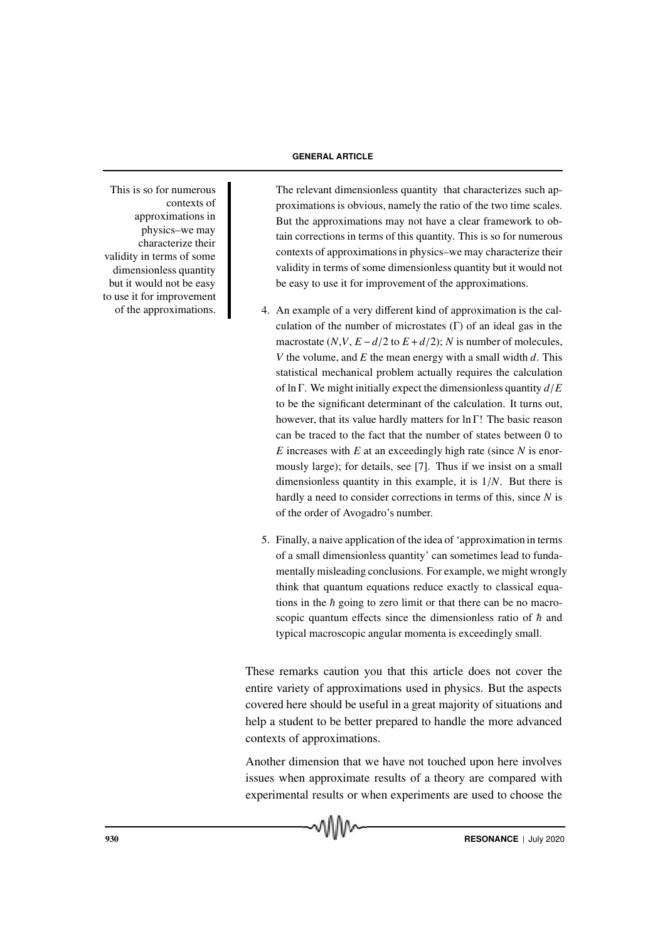contexts of approximations in physics–we may characterize their validity in terms of some dimensionless quantity but it would not be easy to use it for improvement of the approximations.

#### **GENERAL ARTICLE**

This is so for numerous The relevant dimensionless quantity that characterizes such approximations is obvious, namely the ratio of the two time scales. But the approximations may not have a clear framework to obtain corrections in terms of this quantity. This is so for numerous contexts of approximations in physics–we may characterize their validity in terms of some dimensionless quantity but it would not be easy to use it for improvement of the approximations.

- 4. An example of a very different kind of approximation is the calculation of the number of microstates  $(Γ)$  of an ideal gas in the macrostate  $(N, V, E - d/2$  to  $E + d/2)$ ; *N* is number of molecules, *V* the volume, and *E* the mean energy with a small width *d*. This statistical mechanical problem actually requires the calculation of ln Γ. We might initially expect the dimensionless quantity *d*/*E* to be the significant determinant of the calculation. It turns out, however, that its value hardly matters for ln Γ! The basic reason can be traced to the fact that the number of states between 0 to *E* increases with *E* at an exceedingly high rate (since *N* is enormously large); for details, see [7]. Thus if we insist on a small dimensionless quantity in this example, it is 1/*N*. But there is hardly a need to consider corrections in terms of this, since *N* is of the order of Avogadro's number.
- 5. Finally, a naive application of the idea of 'approximation in terms of a small dimensionless quantity' can sometimes lead to fundamentally misleading conclusions. For example, we might wrongly think that quantum equations reduce exactly to classical equations in the  $\hbar$  going to zero limit or that there can be no macroscopic quantum effects since the dimensionless ratio of  $\hbar$  and typical macroscopic angular momenta is exceedingly small.

These remarks caution you that this article does not cover the entire variety of approximations used in physics. But the aspects covered here should be useful in a great majority of situations and help a student to be better prepared to handle the more advanced contexts of approximations.

Another dimension that we have not touched upon here involves issues when approximate results of a theory are compared with experimental results or when experiments are used to choose the

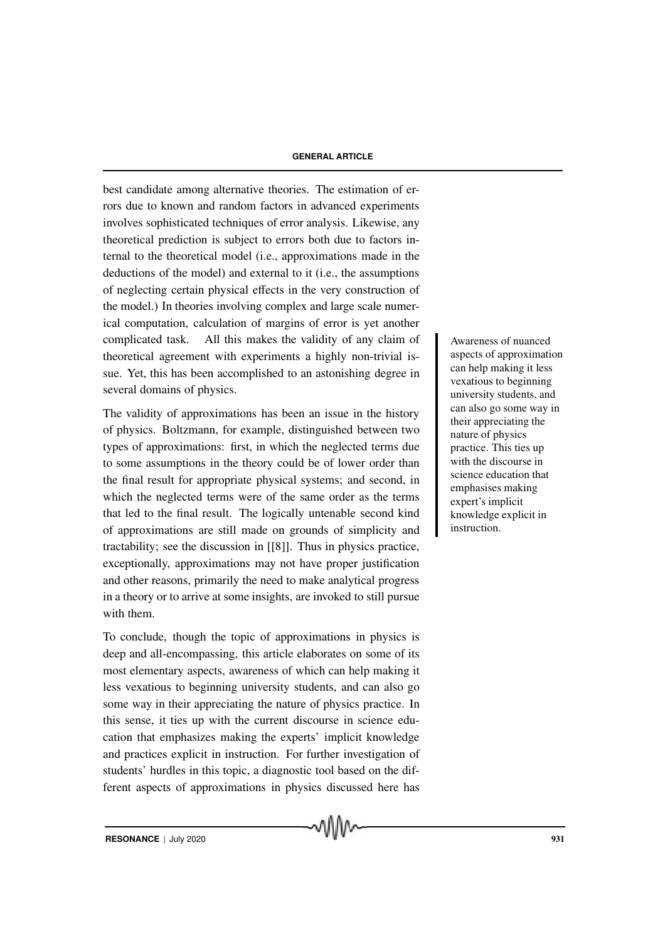best candidate among alternative theories. The estimation of errors due to known and random factors in advanced experiments involves sophisticated techniques of error analysis. Likewise, any theoretical prediction is subject to errors both due to factors internal to the theoretical model (i.e., approximations made in the deductions of the model) and external to it (i.e., the assumptions of neglecting certain physical effects in the very construction of the model.) In theories involving complex and large scale numerical computation, calculation of margins of error is yet another complicated task. All this makes the validity of any claim of Awareness of nuanced theoretical agreement with experiments a highly non-trivial issue. Yet, this has been accomplished to an astonishing degree in several domains of physics.

The validity of approximations has been an issue in the history of physics. Boltzmann, for example, distinguished between two types of approximations: first, in which the neglected terms due to some assumptions in the theory could be of lower order than the final result for appropriate physical systems; and second, in which the neglected terms were of the same order as the terms that led to the final result. The logically untenable second kind of approximations are still made on grounds of simplicity and tractability; see the discussion in [[8]]. Thus in physics practice, exceptionally, approximations may not have proper justification and other reasons, primarily the need to make analytical progress in a theory or to arrive at some insights, are invoked to still pursue with them.

To conclude, though the topic of approximations in physics is deep and all-encompassing, this article elaborates on some of its most elementary aspects, awareness of which can help making it less vexatious to beginning university students, and can also go some way in their appreciating the nature of physics practice. In this sense, it ties up with the current discourse in science education that emphasizes making the experts' implicit knowledge and practices explicit in instruction. For further investigation of students' hurdles in this topic, a diagnostic tool based on the different aspects of approximations in physics discussed here has

MMW

aspects of approximation can help making it less vexatious to beginning university students, and can also go some way in their appreciating the nature of physics practice. This ties up with the discourse in science education that emphasises making expert's implicit knowledge explicit in instruction.